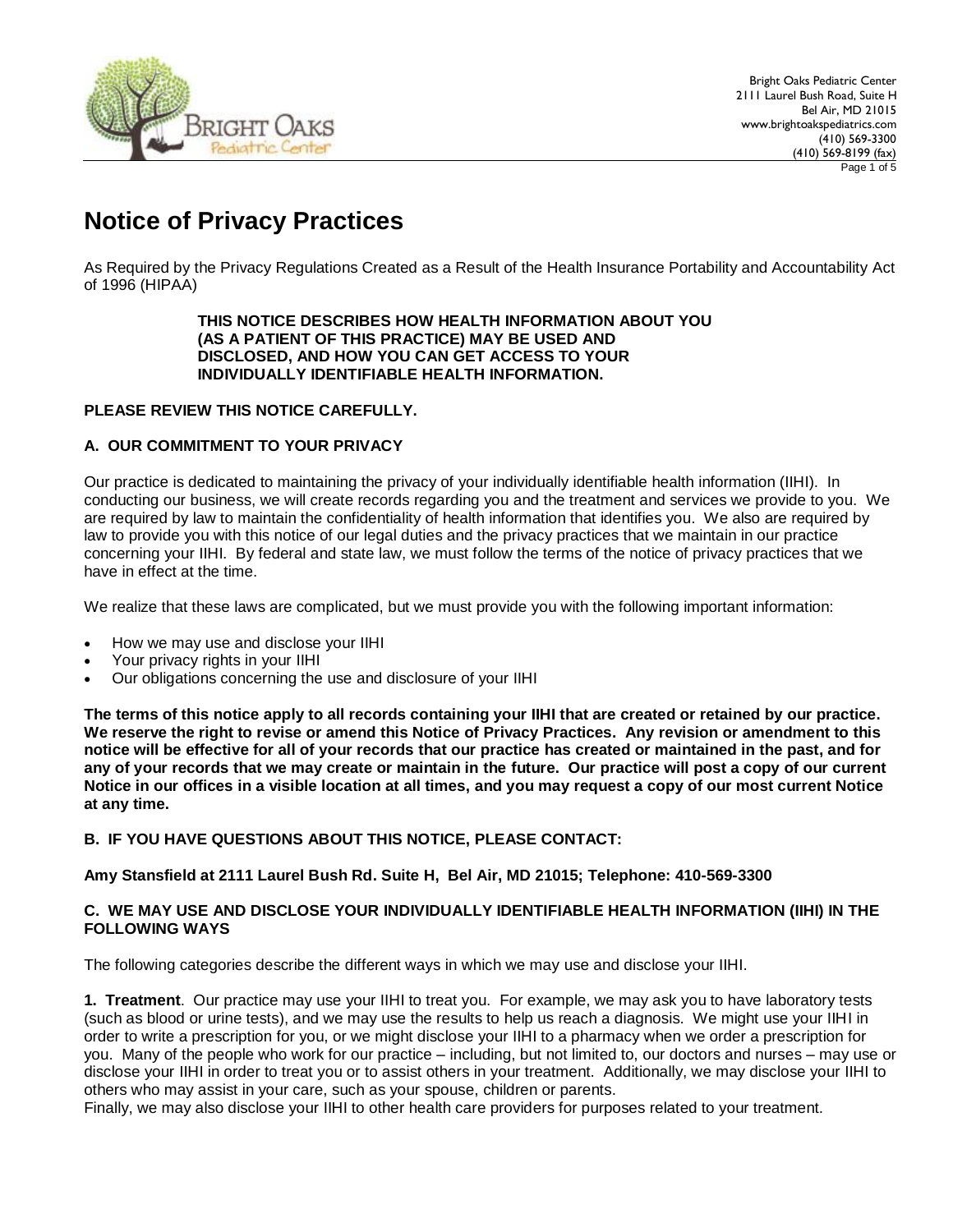

# **Notice of Privacy Practices**

As Required by the Privacy Regulations Created as a Result of the Health Insurance Portability and Accountability Act of 1996 (HIPAA)

#### **THIS NOTICE DESCRIBES HOW HEALTH INFORMATION ABOUT YOU (AS A PATIENT OF THIS PRACTICE) MAY BE USED AND DISCLOSED, AND HOW YOU CAN GET ACCESS TO YOUR INDIVIDUALLY IDENTIFIABLE HEALTH INFORMATION.**

# **PLEASE REVIEW THIS NOTICE CAREFULLY.**

### **A. OUR COMMITMENT TO YOUR PRIVACY**

Our practice is dedicated to maintaining the privacy of your individually identifiable health information (IIHI). In conducting our business, we will create records regarding you and the treatment and services we provide to you. We are required by law to maintain the confidentiality of health information that identifies you. We also are required by law to provide you with this notice of our legal duties and the privacy practices that we maintain in our practice concerning your IIHI. By federal and state law, we must follow the terms of the notice of privacy practices that we have in effect at the time.

We realize that these laws are complicated, but we must provide you with the following important information:

- How we may use and disclose your IIHI
- Your privacy rights in your IIHI
- Our obligations concerning the use and disclosure of your IIHI

**The terms of this notice apply to all records containing your IIHI that are created or retained by our practice. We reserve the right to revise or amend this Notice of Privacy Practices. Any revision or amendment to this notice will be effective for all of your records that our practice has created or maintained in the past, and for any of your records that we may create or maintain in the future. Our practice will post a copy of our current Notice in our offices in a visible location at all times, and you may request a copy of our most current Notice at any time.**

# **B. IF YOU HAVE QUESTIONS ABOUT THIS NOTICE, PLEASE CONTACT:**

#### **Amy Stansfield at 2111 Laurel Bush Rd. Suite H, Bel Air, MD 21015; Telephone: 410-569-3300**

#### **C. WE MAY USE AND DISCLOSE YOUR INDIVIDUALLY IDENTIFIABLE HEALTH INFORMATION (IIHI) IN THE FOLLOWING WAYS**

The following categories describe the different ways in which we may use and disclose your IIHI.

**1. Treatment**. Our practice may use your IIHI to treat you. For example, we may ask you to have laboratory tests (such as blood or urine tests), and we may use the results to help us reach a diagnosis. We might use your IIHI in order to write a prescription for you, or we might disclose your IIHI to a pharmacy when we order a prescription for you. Many of the people who work for our practice – including, but not limited to, our doctors and nurses – may use or disclose your IIHI in order to treat you or to assist others in your treatment. Additionally, we may disclose your IIHI to others who may assist in your care, such as your spouse, children or parents.

Finally, we may also disclose your IIHI to other health care providers for purposes related to your treatment.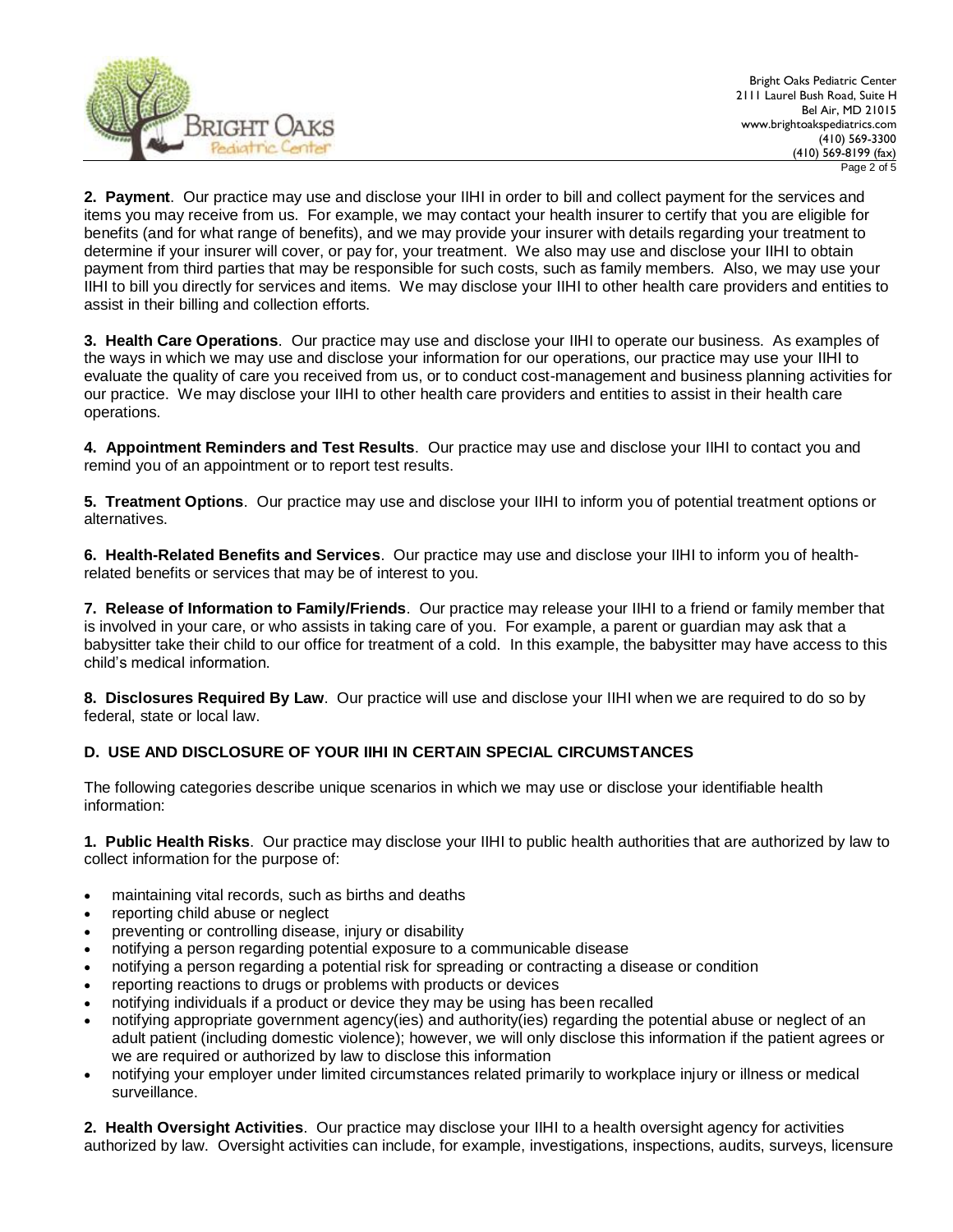

**2. Payment**. Our practice may use and disclose your IIHI in order to bill and collect payment for the services and items you may receive from us. For example, we may contact your health insurer to certify that you are eligible for benefits (and for what range of benefits), and we may provide your insurer with details regarding your treatment to determine if your insurer will cover, or pay for, your treatment. We also may use and disclose your IIHI to obtain payment from third parties that may be responsible for such costs, such as family members. Also, we may use your IIHI to bill you directly for services and items. We may disclose your IIHI to other health care providers and entities to assist in their billing and collection efforts.

**3. Health Care Operations**. Our practice may use and disclose your IIHI to operate our business. As examples of the ways in which we may use and disclose your information for our operations, our practice may use your IIHI to evaluate the quality of care you received from us, or to conduct cost-management and business planning activities for our practice. We may disclose your IIHI to other health care providers and entities to assist in their health care operations.

**4. Appointment Reminders and Test Results**. Our practice may use and disclose your IIHI to contact you and remind you of an appointment or to report test results.

**5. Treatment Options**. Our practice may use and disclose your IIHI to inform you of potential treatment options or alternatives.

**6. Health-Related Benefits and Services**. Our practice may use and disclose your IIHI to inform you of healthrelated benefits or services that may be of interest to you.

**7. Release of Information to Family/Friends**. Our practice may release your IIHI to a friend or family member that is involved in your care, or who assists in taking care of you. For example, a parent or guardian may ask that a babysitter take their child to our office for treatment of a cold. In this example, the babysitter may have access to this child's medical information.

**8. Disclosures Required By Law**. Our practice will use and disclose your IIHI when we are required to do so by federal, state or local law.

# **D. USE AND DISCLOSURE OF YOUR IIHI IN CERTAIN SPECIAL CIRCUMSTANCES**

The following categories describe unique scenarios in which we may use or disclose your identifiable health information:

**1. Public Health Risks**. Our practice may disclose your IIHI to public health authorities that are authorized by law to collect information for the purpose of:

- maintaining vital records, such as births and deaths
- reporting child abuse or neglect
- preventing or controlling disease, injury or disability
- notifying a person regarding potential exposure to a communicable disease
- notifying a person regarding a potential risk for spreading or contracting a disease or condition
- reporting reactions to drugs or problems with products or devices
- notifying individuals if a product or device they may be using has been recalled
- notifying appropriate government agency(ies) and authority(ies) regarding the potential abuse or neglect of an adult patient (including domestic violence); however, we will only disclose this information if the patient agrees or we are required or authorized by law to disclose this information
- notifying your employer under limited circumstances related primarily to workplace injury or illness or medical surveillance.

**2. Health Oversight Activities**. Our practice may disclose your IIHI to a health oversight agency for activities authorized by law. Oversight activities can include, for example, investigations, inspections, audits, surveys, licensure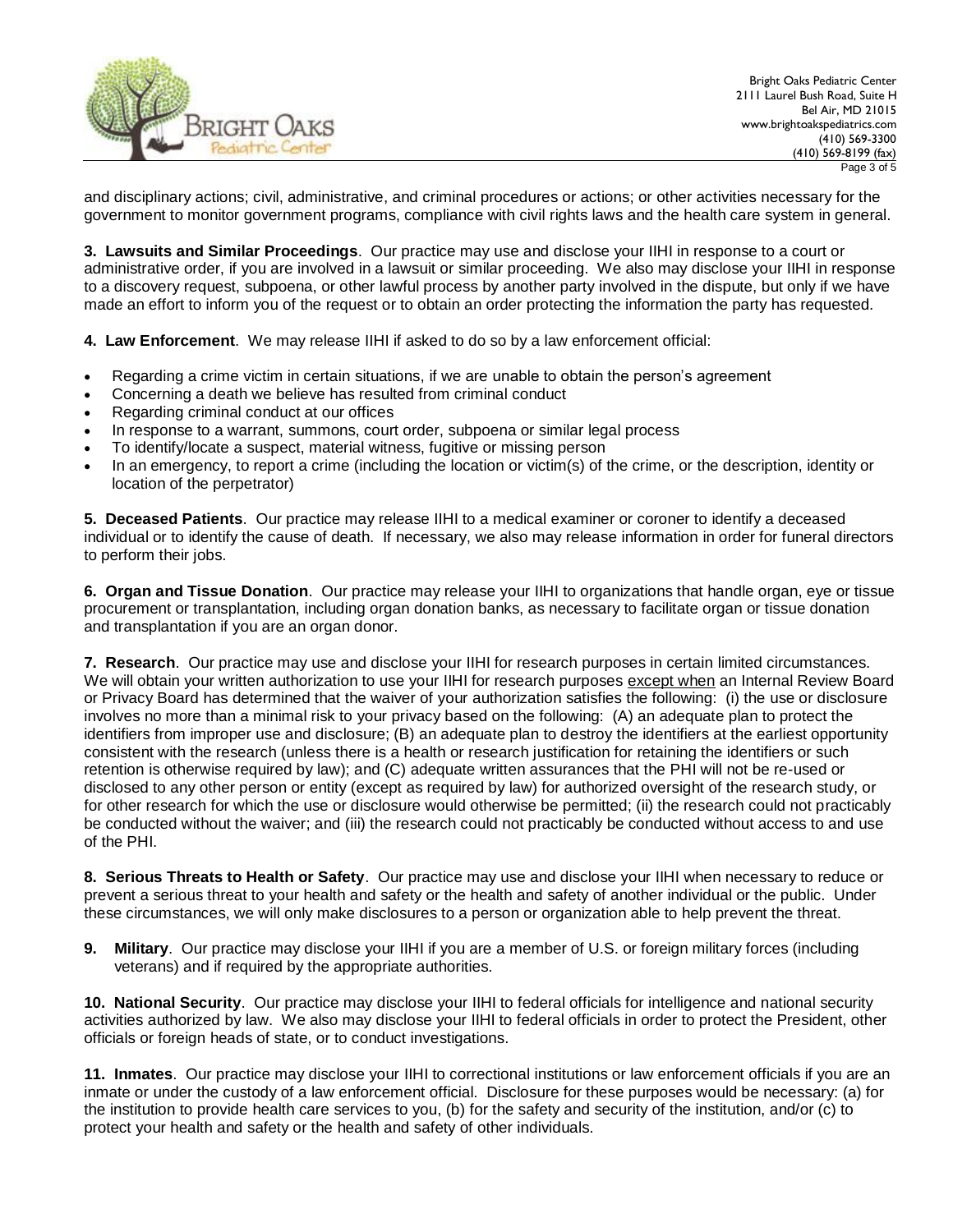

and disciplinary actions; civil, administrative, and criminal procedures or actions; or other activities necessary for the government to monitor government programs, compliance with civil rights laws and the health care system in general.

**3. Lawsuits and Similar Proceedings**. Our practice may use and disclose your IIHI in response to a court or administrative order, if you are involved in a lawsuit or similar proceeding. We also may disclose your IIHI in response to a discovery request, subpoena, or other lawful process by another party involved in the dispute, but only if we have made an effort to inform you of the request or to obtain an order protecting the information the party has requested.

**4. Law Enforcement**. We may release IIHI if asked to do so by a law enforcement official:

- Regarding a crime victim in certain situations, if we are unable to obtain the person's agreement
- Concerning a death we believe has resulted from criminal conduct
- Regarding criminal conduct at our offices
- In response to a warrant, summons, court order, subpoena or similar legal process
- To identify/locate a suspect, material witness, fugitive or missing person
- In an emergency, to report a crime (including the location or victim(s) of the crime, or the description, identity or location of the perpetrator)

**5. Deceased Patients**. Our practice may release IIHI to a medical examiner or coroner to identify a deceased individual or to identify the cause of death. If necessary, we also may release information in order for funeral directors to perform their jobs.

**6. Organ and Tissue Donation**. Our practice may release your IIHI to organizations that handle organ, eye or tissue procurement or transplantation, including organ donation banks, as necessary to facilitate organ or tissue donation and transplantation if you are an organ donor.

**7. Research**. Our practice may use and disclose your IIHI for research purposes in certain limited circumstances. We will obtain your written authorization to use your IIHI for research purposes except when an Internal Review Board or Privacy Board has determined that the waiver of your authorization satisfies the following: (i) the use or disclosure involves no more than a minimal risk to your privacy based on the following: (A) an adequate plan to protect the identifiers from improper use and disclosure; (B) an adequate plan to destroy the identifiers at the earliest opportunity consistent with the research (unless there is a health or research justification for retaining the identifiers or such retention is otherwise required by law); and (C) adequate written assurances that the PHI will not be re-used or disclosed to any other person or entity (except as required by law) for authorized oversight of the research study, or for other research for which the use or disclosure would otherwise be permitted; (ii) the research could not practicably be conducted without the waiver; and (iii) the research could not practicably be conducted without access to and use of the PHI.

**8. Serious Threats to Health or Safety**. Our practice may use and disclose your IIHI when necessary to reduce or prevent a serious threat to your health and safety or the health and safety of another individual or the public. Under these circumstances, we will only make disclosures to a person or organization able to help prevent the threat.

**9. Military**. Our practice may disclose your IIHI if you are a member of U.S. or foreign military forces (including veterans) and if required by the appropriate authorities.

**10. National Security**. Our practice may disclose your IIHI to federal officials for intelligence and national security activities authorized by law. We also may disclose your IIHI to federal officials in order to protect the President, other officials or foreign heads of state, or to conduct investigations.

**11. Inmates**. Our practice may disclose your IIHI to correctional institutions or law enforcement officials if you are an inmate or under the custody of a law enforcement official. Disclosure for these purposes would be necessary: (a) for the institution to provide health care services to you, (b) for the safety and security of the institution, and/or (c) to protect your health and safety or the health and safety of other individuals.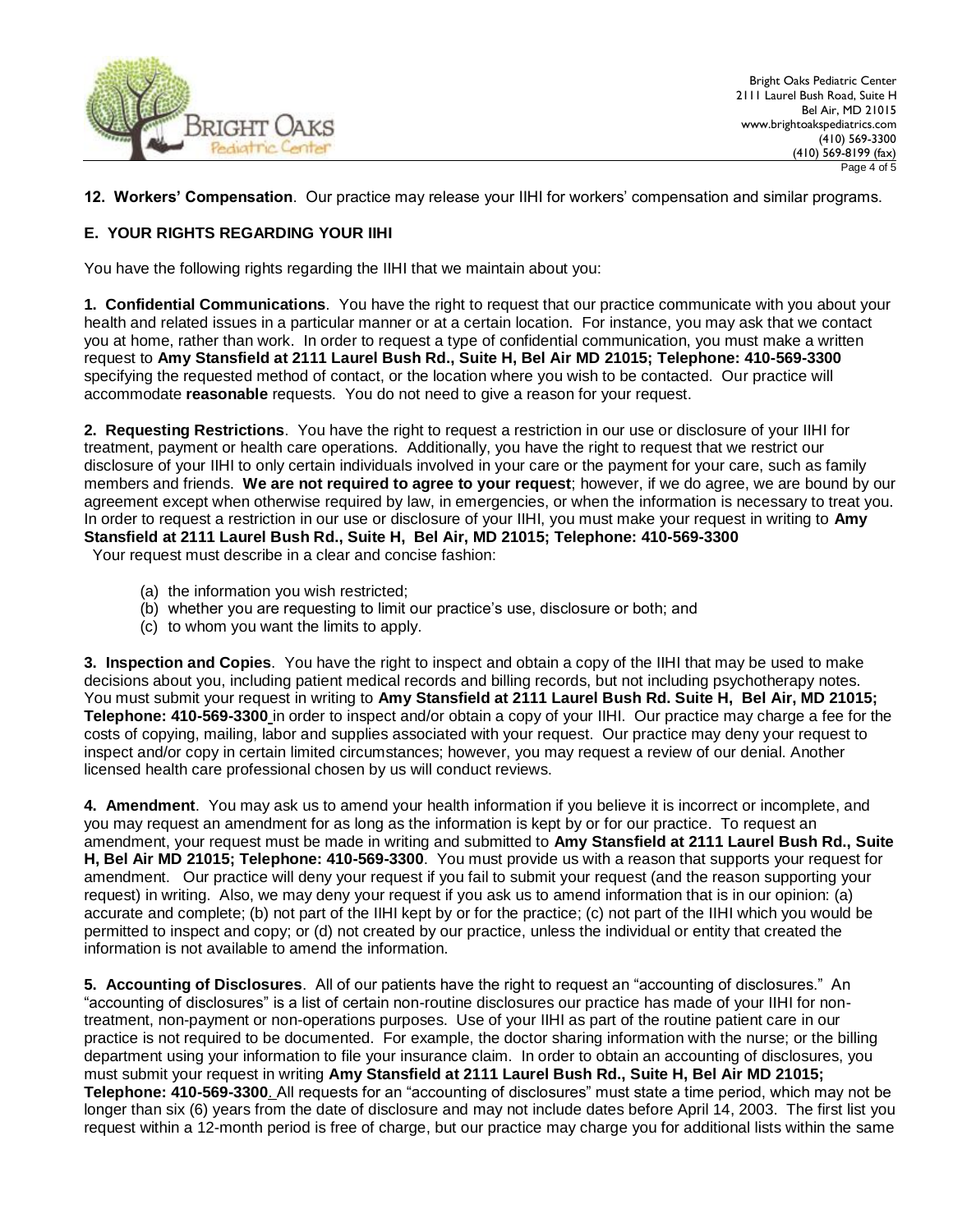

# **12. Workers' Compensation**. Our practice may release your IIHI for workers' compensation and similar programs.

## **E. YOUR RIGHTS REGARDING YOUR IIHI**

You have the following rights regarding the IIHI that we maintain about you:

**1. Confidential Communications**. You have the right to request that our practice communicate with you about your health and related issues in a particular manner or at a certain location. For instance, you may ask that we contact you at home, rather than work. In order to request a type of confidential communication, you must make a written request to **Amy Stansfield at 2111 Laurel Bush Rd., Suite H, Bel Air MD 21015; Telephone: 410-569-3300** specifying the requested method of contact, or the location where you wish to be contacted. Our practice will accommodate **reasonable** requests. You do not need to give a reason for your request.

**2. Requesting Restrictions**. You have the right to request a restriction in our use or disclosure of your IIHI for treatment, payment or health care operations. Additionally, you have the right to request that we restrict our disclosure of your IIHI to only certain individuals involved in your care or the payment for your care, such as family members and friends. **We are not required to agree to your request**; however, if we do agree, we are bound by our agreement except when otherwise required by law, in emergencies, or when the information is necessary to treat you. In order to request a restriction in our use or disclosure of your IIHI, you must make your request in writing to **Amy Stansfield at 2111 Laurel Bush Rd., Suite H, Bel Air, MD 21015; Telephone: 410-569-3300**

Your request must describe in a clear and concise fashion:

- (a) the information you wish restricted;
- (b) whether you are requesting to limit our practice's use, disclosure or both; and
- (c) to whom you want the limits to apply.

**3. Inspection and Copies**. You have the right to inspect and obtain a copy of the IIHI that may be used to make decisions about you, including patient medical records and billing records, but not including psychotherapy notes. You must submit your request in writing to **Amy Stansfield at 2111 Laurel Bush Rd. Suite H, Bel Air, MD 21015; Telephone: 410-569-3300** in order to inspect and/or obtain a copy of your IIHI. Our practice may charge a fee for the costs of copying, mailing, labor and supplies associated with your request. Our practice may deny your request to inspect and/or copy in certain limited circumstances; however, you may request a review of our denial. Another licensed health care professional chosen by us will conduct reviews.

**4. Amendment**. You may ask us to amend your health information if you believe it is incorrect or incomplete, and you may request an amendment for as long as the information is kept by or for our practice. To request an amendment, your request must be made in writing and submitted to **Amy Stansfield at 2111 Laurel Bush Rd., Suite H, Bel Air MD 21015; Telephone: 410-569-3300**. You must provide us with a reason that supports your request for amendment. Our practice will deny your request if you fail to submit your request (and the reason supporting your request) in writing. Also, we may deny your request if you ask us to amend information that is in our opinion: (a) accurate and complete; (b) not part of the IIHI kept by or for the practice; (c) not part of the IIHI which you would be permitted to inspect and copy; or (d) not created by our practice, unless the individual or entity that created the information is not available to amend the information.

**5. Accounting of Disclosures**. All of our patients have the right to request an "accounting of disclosures." An "accounting of disclosures" is a list of certain non-routine disclosures our practice has made of your IIHI for nontreatment, non-payment or non-operations purposes. Use of your IIHI as part of the routine patient care in our practice is not required to be documented. For example, the doctor sharing information with the nurse; or the billing department using your information to file your insurance claim. In order to obtain an accounting of disclosures, you must submit your request in writing **Amy Stansfield at 2111 Laurel Bush Rd., Suite H, Bel Air MD 21015; Telephone: 410-569-3300**. All requests for an "accounting of disclosures" must state a time period, which may not be longer than six (6) years from the date of disclosure and may not include dates before April 14, 2003. The first list you request within a 12-month period is free of charge, but our practice may charge you for additional lists within the same